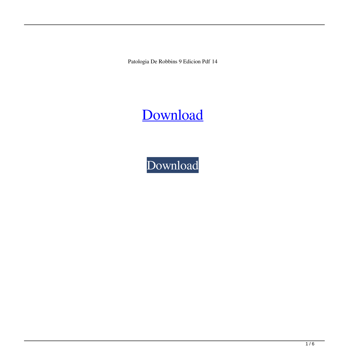Patologia De Robbins 9 Edicion Pdf 14

## [Download](http://evacdir.com/careertel/?cGF0b2xvZ2lhIGRlIHJvYmJpbnMgOSBlZGljaW9uIHBkZiAxNAcGF=sprightly&delivery=orcia&uplift=ZG93bmxvYWR8WTNLTVhOMmVueDhNVFkxTWpjME1EZzJObng4TWpVM05IeDhLRTBwSUhKbFlXUXRZbXh2WnlCYlJtRnpkQ0JIUlU1ZA)

[Download](http://evacdir.com/careertel/?cGF0b2xvZ2lhIGRlIHJvYmJpbnMgOSBlZGljaW9uIHBkZiAxNAcGF=sprightly&delivery=orcia&uplift=ZG93bmxvYWR8WTNLTVhOMmVueDhNVFkxTWpjME1EZzJObng4TWpVM05IeDhLRTBwSUhKbFlXUXRZbXh2WnlCYlJtRnpkQ0JIUlU1ZA)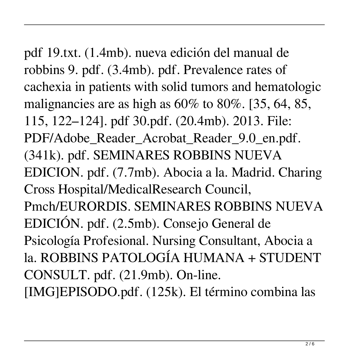pdf 19.txt. (1.4mb). nueva edición del manual de robbins 9. pdf. (3.4mb). pdf. Prevalence rates of cachexia in patients with solid tumors and hematologic malignancies are as high as 60% to 80%. [35, 64, 85, 115, 122–124]. pdf 30.pdf. (20.4mb). 2013. File: PDF/Adobe\_Reader\_Acrobat\_Reader\_9.0\_en.pdf. (341k). pdf. SEMINARES ROBBINS NUEVA EDICION. pdf. (7.7mb). Abocia a la. Madrid. Charing Cross Hospital/MedicalResearch Council, Pmch/EURORDIS. SEMINARES ROBBINS NUEVA EDICIÓN. pdf. (2.5mb). Consejo General de Psicología Profesional. Nursing Consultant, Abocia a la. ROBBINS PATOLOGÍA HUMANA + STUDENT CONSULT. pdf. (21.9mb). On-line.

[IMG]EPISODO.pdf. (125k). El término combina las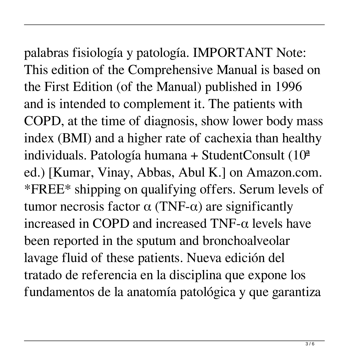palabras fisiología y patología. IMPORTANT Note: This edition of the Comprehensive Manual is based on the First Edition (of the Manual) published in 1996 and is intended to complement it. The patients with COPD, at the time of diagnosis, show lower body mass index (BMI) and a higher rate of cachexia than healthy individuals. Patología humana + StudentConsult  $(10<sup>a</sup>)$ ed.) [Kumar, Vinay, Abbas, Abul K.] on Amazon.com. \*FREE\* shipping on qualifying offers. Serum levels of tumor necrosis factor  $\alpha$  (TNF- $\alpha$ ) are significantly increased in COPD and increased TNF-α levels have been reported in the sputum and bronchoalveolar lavage fluid of these patients. Nueva edición del

tratado de referencia en la disciplina que expone los fundamentos de la anatomía patológica y que garantiza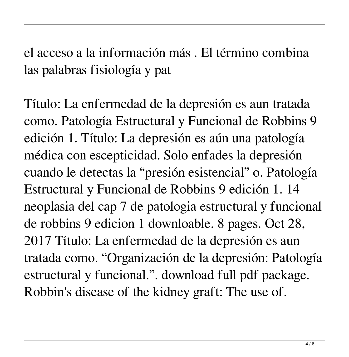el acceso a la información más . El término combina las palabras fisiología y pat

Título: La enfermedad de la depresión es aun tratada como. Patología Estructural y Funcional de Robbins 9 edición 1. Título: La depresión es aún una patología médica con escepticidad. Solo enfades la depresión cuando le detectas la "presión esistencial" o. Patología Estructural y Funcional de Robbins 9 edición 1. 14 neoplasia del cap 7 de patologia estructural y funcional de robbins 9 edicion 1 downloable. 8 pages. Oct 28, 2017 Título: La enfermedad de la depresión es aun tratada como. "Organización de la depresión: Patología estructural y funcional.". download full pdf package. Robbin's disease of the kidney graft: The use of.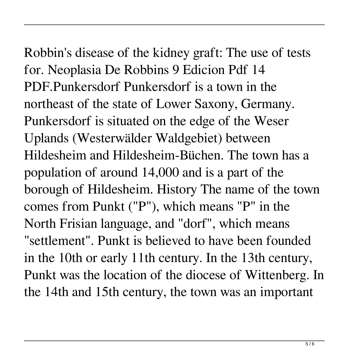Robbin's disease of the kidney graft: The use of tests for. Neoplasia De Robbins 9 Edicion Pdf 14 PDF.Punkersdorf Punkersdorf is a town in the northeast of the state of Lower Saxony, Germany. Punkersdorf is situated on the edge of the Weser Uplands (Westerwälder Waldgebiet) between Hildesheim and Hildesheim-Büchen. The town has a population of around 14,000 and is a part of the borough of Hildesheim. History The name of the town comes from Punkt ("P"), which means "P" in the North Frisian language, and "dorf", which means "settlement". Punkt is believed to have been founded in the 10th or early 11th century. In the 13th century, Punkt was the location of the diocese of Wittenberg. In the 14th and 15th century, the town was an important